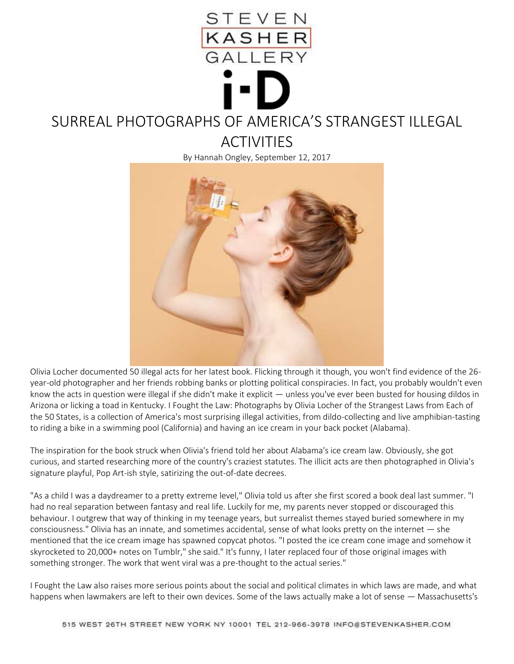

## SURREAL PHOTOGRAPHS OF AMERICA'S STRANGEST ILLEGAL

**ACTIVITIES** 

By Hannah Ongley, September 12, 2017



Olivia Locher documented 50 illegal acts for her latest book. Flicking through it though, you won't find evidence of the 26 year-old photographer and her friends robbing banks or plotting political conspiracies. In fact, you probably wouldn't even know the acts in question were illegal if she didn't make it explicit — unless you've ever been busted for housing dildos in Arizona or licking a toad in Kentucky. I Fought the Law: Photographs by Olivia Locher of the Strangest Laws from Each of the 50 States, is a collection of America's most surprising illegal activities, from dildo-collecting and live amphibian-tasting to riding a bike in a swimming pool (California) and having an ice cream in your back pocket (Alabama).

The inspiration for the book struck when Olivia's friend told her about Alabama's ice cream law. Obviously, she got curious, and started researching more of the country's craziest statutes. The illicit acts are then photographed in Olivia's signature playful, Pop Art-ish style, satirizing the out-of-date decrees.

"As a child I was a daydreamer to a pretty extreme level," Olivia told us after she first scored a book deal last summer. "I had no real separation between fantasy and real life. Luckily for me, my parents never stopped or discouraged this behaviour. I outgrew that way of thinking in my teenage years, but surrealist themes stayed buried somewhere in my consciousness." Olivia has an innate, and sometimes accidental, sense of what looks pretty on the internet — she mentioned that the ice cream image has spawned copycat photos. "I posted the ice cream cone image and somehow it skyrocketed to 20,000+ notes on Tumblr," she said." It's funny, I later replaced four of those original images with something stronger. The work that went viral was a pre-thought to the actual series."

I Fought the Law also raises more serious points about the social and political climates in which laws are made, and what happens when lawmakers are left to their own devices. Some of the laws actually make a lot of sense — Massachusetts's